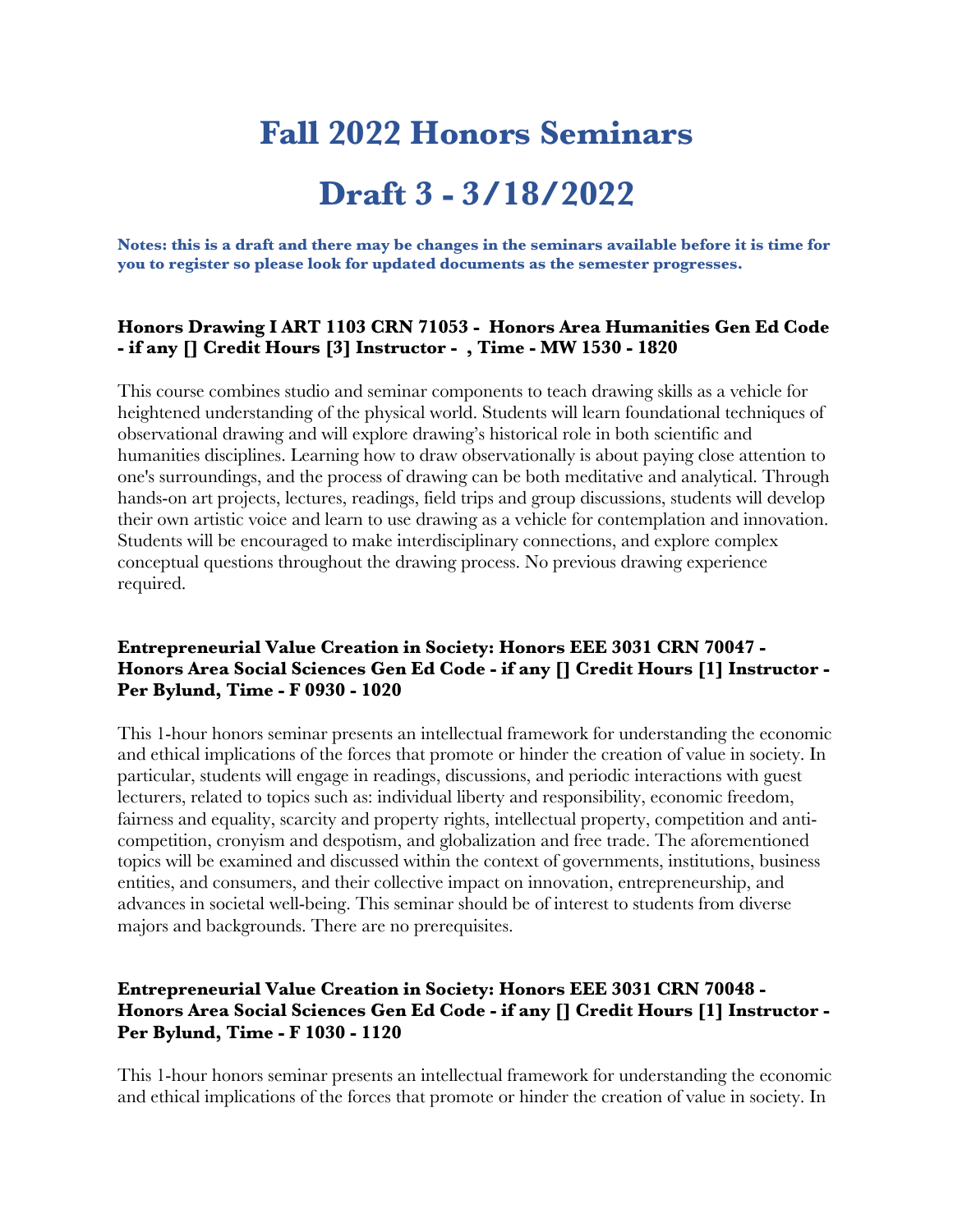# **Fall 2022 Honors Seminars Draft 3 - 3/18/2022**

**Notes: this is a draft and there may be changes in the seminars available before it is time for you to register so please look for updated documents as the semester progresses.**

#### **Honors Drawing I ART 1103 CRN 71053 - Honors Area Humanities Gen Ed Code - if any [] Credit Hours [3] Instructor - , Time - MW 1530 - 1820**

This course combines studio and seminar components to teach drawing skills as a vehicle for heightened understanding of the physical world. Students will learn foundational techniques of observational drawing and will explore drawing's historical role in both scientific and humanities disciplines. Learning how to draw observationally is about paying close attention to one's surroundings, and the process of drawing can be both meditative and analytical. Through hands-on art projects, lectures, readings, field trips and group discussions, students will develop their own artistic voice and learn to use drawing as a vehicle for contemplation and innovation. Students will be encouraged to make interdisciplinary connections, and explore complex conceptual questions throughout the drawing process. No previous drawing experience required.

## **Entrepreneurial Value Creation in Society: Honors EEE 3031 CRN 70047 - Honors Area Social Sciences Gen Ed Code - if any [] Credit Hours [1] Instructor - Per Bylund, Time - F 0930 - 1020**

This 1-hour honors seminar presents an intellectual framework for understanding the economic and ethical implications of the forces that promote or hinder the creation of value in society. In particular, students will engage in readings, discussions, and periodic interactions with guest lecturers, related to topics such as: individual liberty and responsibility, economic freedom, fairness and equality, scarcity and property rights, intellectual property, competition and anticompetition, cronyism and despotism, and globalization and free trade. The aforementioned topics will be examined and discussed within the context of governments, institutions, business entities, and consumers, and their collective impact on innovation, entrepreneurship, and advances in societal well-being. This seminar should be of interest to students from diverse majors and backgrounds. There are no prerequisites.

## **Entrepreneurial Value Creation in Society: Honors EEE 3031 CRN 70048 - Honors Area Social Sciences Gen Ed Code - if any [] Credit Hours [1] Instructor - Per Bylund, Time - F 1030 - 1120**

This 1-hour honors seminar presents an intellectual framework for understanding the economic and ethical implications of the forces that promote or hinder the creation of value in society. In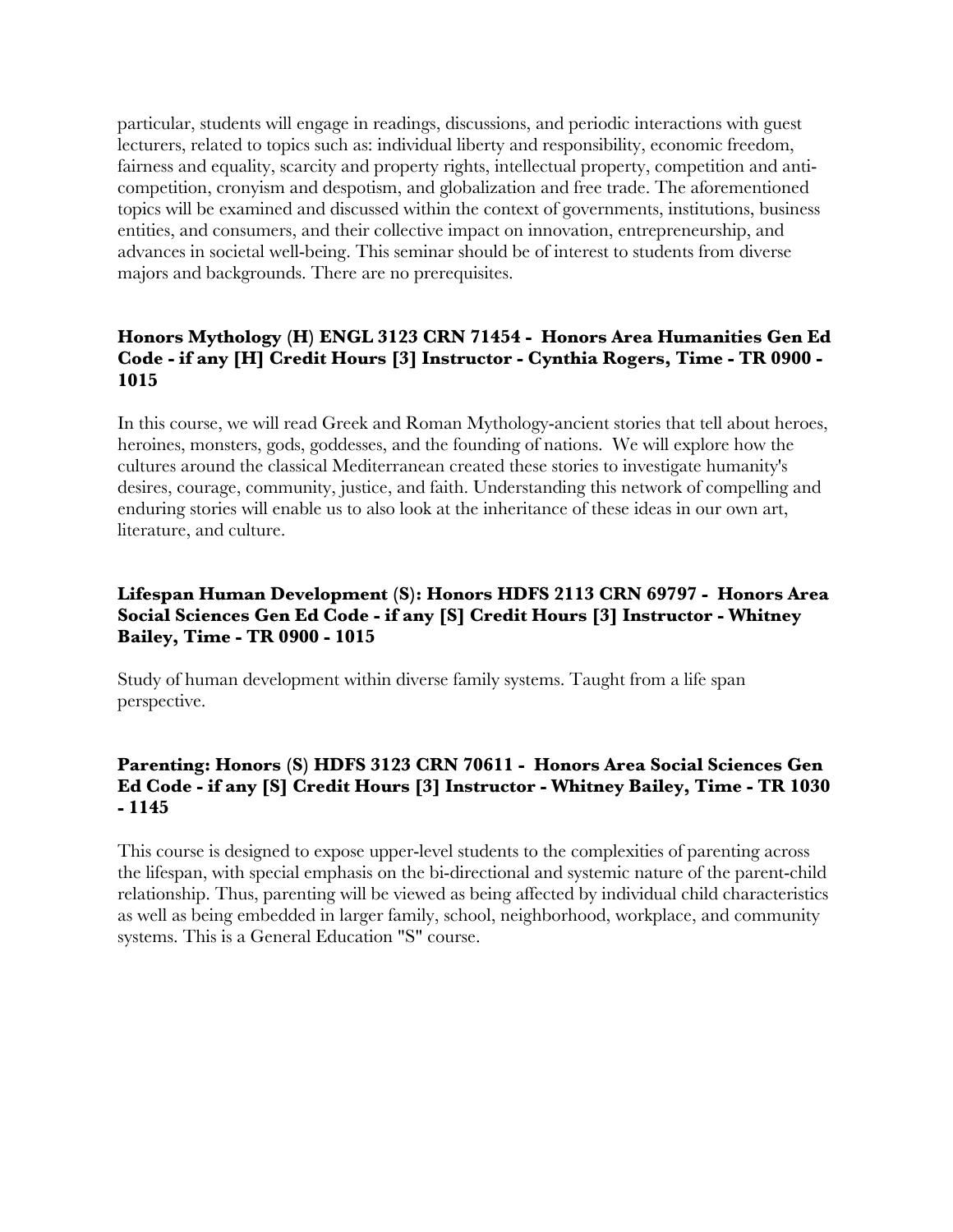particular, students will engage in readings, discussions, and periodic interactions with guest lecturers, related to topics such as: individual liberty and responsibility, economic freedom, fairness and equality, scarcity and property rights, intellectual property, competition and anticompetition, cronyism and despotism, and globalization and free trade. The aforementioned topics will be examined and discussed within the context of governments, institutions, business entities, and consumers, and their collective impact on innovation, entrepreneurship, and advances in societal well-being. This seminar should be of interest to students from diverse majors and backgrounds. There are no prerequisites.

# **Honors Mythology (H) ENGL 3123 CRN 71454 - Honors Area Humanities Gen Ed Code - if any [H] Credit Hours [3] Instructor - Cynthia Rogers, Time - TR 0900 - 1015**

In this course, we will read Greek and Roman Mythology-ancient stories that tell about heroes, heroines, monsters, gods, goddesses, and the founding of nations. We will explore how the cultures around the classical Mediterranean created these stories to investigate humanity's desires, courage, community, justice, and faith. Understanding this network of compelling and enduring stories will enable us to also look at the inheritance of these ideas in our own art, literature, and culture.

# **Lifespan Human Development (S): Honors HDFS 2113 CRN 69797 - Honors Area Social Sciences Gen Ed Code - if any [S] Credit Hours [3] Instructor - Whitney Bailey, Time - TR 0900 - 1015**

Study of human development within diverse family systems. Taught from a life span perspective.

# **Parenting: Honors (S) HDFS 3123 CRN 70611 - Honors Area Social Sciences Gen Ed Code - if any [S] Credit Hours [3] Instructor - Whitney Bailey, Time - TR 1030 - 1145**

This course is designed to expose upper-level students to the complexities of parenting across the lifespan, with special emphasis on the bi-directional and systemic nature of the parent-child relationship. Thus, parenting will be viewed as being affected by individual child characteristics as well as being embedded in larger family, school, neighborhood, workplace, and community systems. This is a General Education "S" course.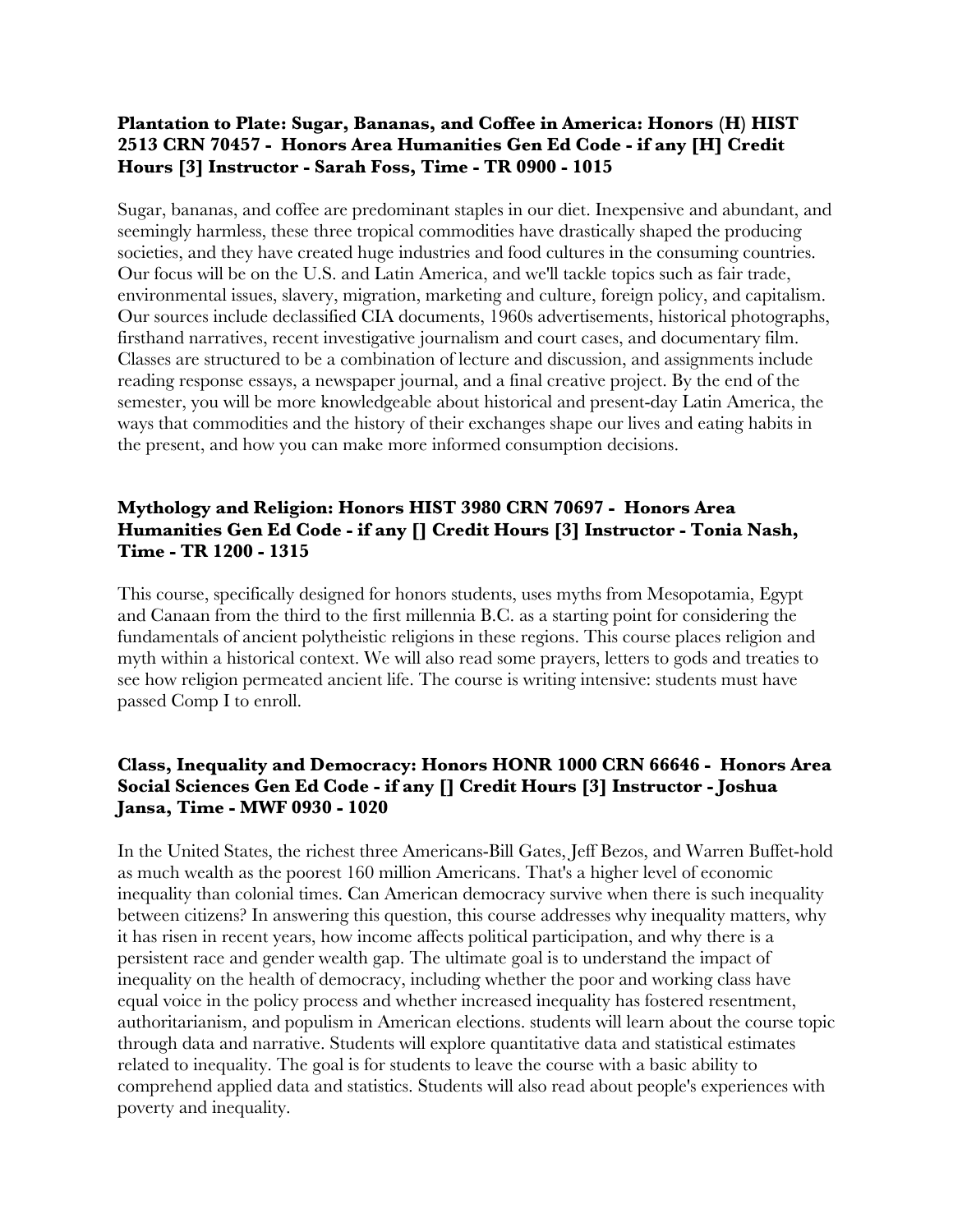#### **Plantation to Plate: Sugar, Bananas, and Coffee in America: Honors (H) HIST 2513 CRN 70457 - Honors Area Humanities Gen Ed Code - if any [H] Credit Hours [3] Instructor - Sarah Foss, Time - TR 0900 - 1015**

Sugar, bananas, and coffee are predominant staples in our diet. Inexpensive and abundant, and seemingly harmless, these three tropical commodities have drastically shaped the producing societies, and they have created huge industries and food cultures in the consuming countries. Our focus will be on the U.S. and Latin America, and we'll tackle topics such as fair trade, environmental issues, slavery, migration, marketing and culture, foreign policy, and capitalism. Our sources include declassified CIA documents, 1960s advertisements, historical photographs, firsthand narratives, recent investigative journalism and court cases, and documentary film. Classes are structured to be a combination of lecture and discussion, and assignments include reading response essays, a newspaper journal, and a final creative project. By the end of the semester, you will be more knowledgeable about historical and present-day Latin America, the ways that commodities and the history of their exchanges shape our lives and eating habits in the present, and how you can make more informed consumption decisions.

## **Mythology and Religion: Honors HIST 3980 CRN 70697 - Honors Area Humanities Gen Ed Code - if any [] Credit Hours [3] Instructor - Tonia Nash, Time - TR 1200 - 1315**

This course, specifically designed for honors students, uses myths from Mesopotamia, Egypt and Canaan from the third to the first millennia B.C. as a starting point for considering the fundamentals of ancient polytheistic religions in these regions. This course places religion and myth within a historical context. We will also read some prayers, letters to gods and treaties to see how religion permeated ancient life. The course is writing intensive: students must have passed Comp I to enroll.

## **Class, Inequality and Democracy: Honors HONR 1000 CRN 66646 - Honors Area Social Sciences Gen Ed Code - if any [] Credit Hours [3] Instructor - Joshua Jansa, Time - MWF 0930 - 1020**

In the United States, the richest three Americans-Bill Gates, Jeff Bezos, and Warren Buffet-hold as much wealth as the poorest 160 million Americans. That's a higher level of economic inequality than colonial times. Can American democracy survive when there is such inequality between citizens? In answering this question, this course addresses why inequality matters, why it has risen in recent years, how income affects political participation, and why there is a persistent race and gender wealth gap. The ultimate goal is to understand the impact of inequality on the health of democracy, including whether the poor and working class have equal voice in the policy process and whether increased inequality has fostered resentment, authoritarianism, and populism in American elections. students will learn about the course topic through data and narrative. Students will explore quantitative data and statistical estimates related to inequality. The goal is for students to leave the course with a basic ability to comprehend applied data and statistics. Students will also read about people's experiences with poverty and inequality.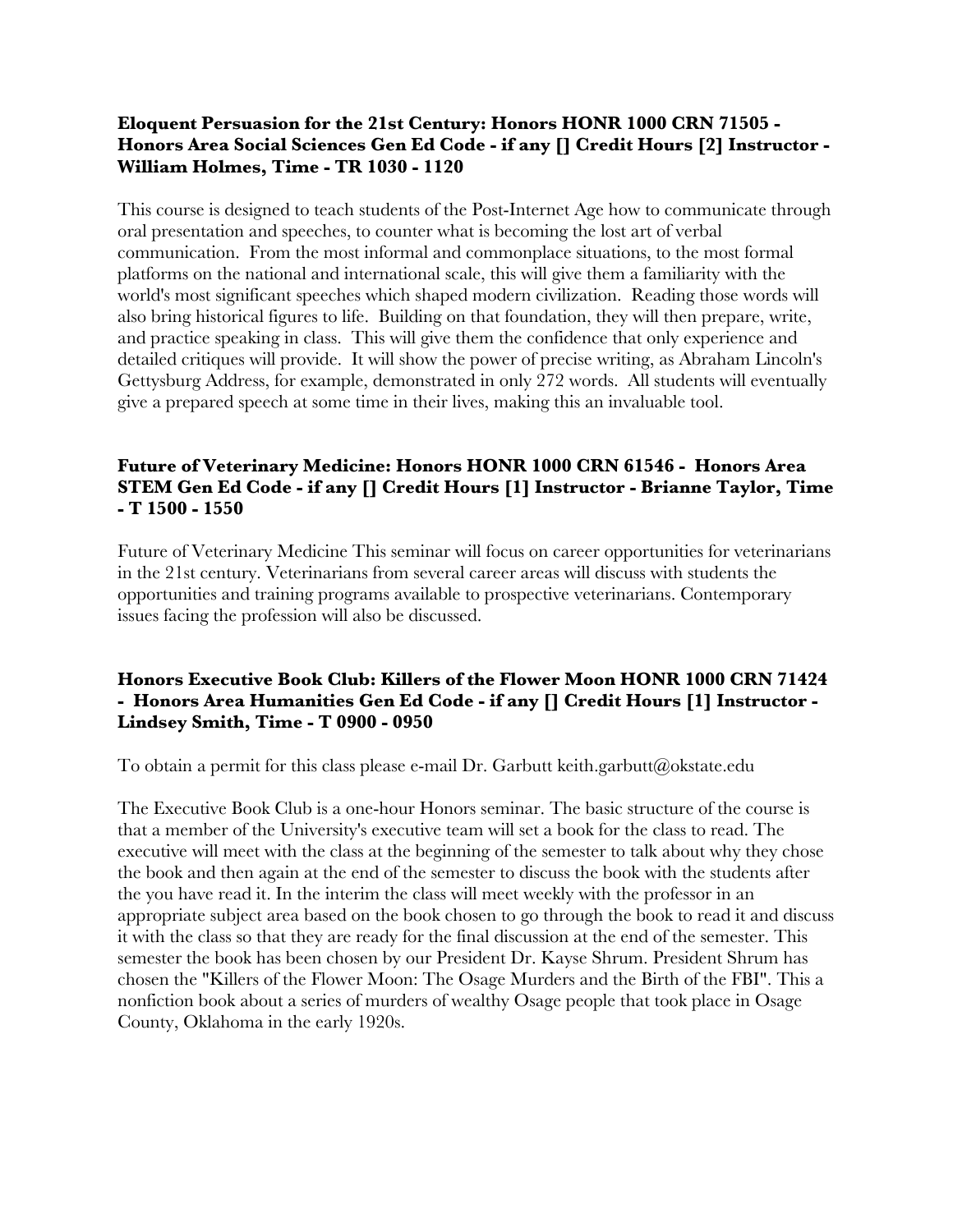#### **Eloquent Persuasion for the 21st Century: Honors HONR 1000 CRN 71505 - Honors Area Social Sciences Gen Ed Code - if any [] Credit Hours [2] Instructor - William Holmes, Time - TR 1030 - 1120**

This course is designed to teach students of the Post-Internet Age how to communicate through oral presentation and speeches, to counter what is becoming the lost art of verbal communication. From the most informal and commonplace situations, to the most formal platforms on the national and international scale, this will give them a familiarity with the world's most significant speeches which shaped modern civilization. Reading those words will also bring historical figures to life. Building on that foundation, they will then prepare, write, and practice speaking in class. This will give them the confidence that only experience and detailed critiques will provide. It will show the power of precise writing, as Abraham Lincoln's Gettysburg Address, for example, demonstrated in only 272 words. All students will eventually give a prepared speech at some time in their lives, making this an invaluable tool.

# **Future of Veterinary Medicine: Honors HONR 1000 CRN 61546 - Honors Area STEM Gen Ed Code - if any [] Credit Hours [1] Instructor - Brianne Taylor, Time - T 1500 - 1550**

Future of Veterinary Medicine This seminar will focus on career opportunities for veterinarians in the 21st century. Veterinarians from several career areas will discuss with students the opportunities and training programs available to prospective veterinarians. Contemporary issues facing the profession will also be discussed.

#### **Honors Executive Book Club: Killers of the Flower Moon HONR 1000 CRN 71424 - Honors Area Humanities Gen Ed Code - if any [] Credit Hours [1] Instructor - Lindsey Smith, Time - T 0900 - 0950**

To obtain a permit for this class please e-mail Dr. Garbutt keith.garbutt@okstate.edu

The Executive Book Club is a one-hour Honors seminar. The basic structure of the course is that a member of the University's executive team will set a book for the class to read. The executive will meet with the class at the beginning of the semester to talk about why they chose the book and then again at the end of the semester to discuss the book with the students after the you have read it. In the interim the class will meet weekly with the professor in an appropriate subject area based on the book chosen to go through the book to read it and discuss it with the class so that they are ready for the final discussion at the end of the semester. This semester the book has been chosen by our President Dr. Kayse Shrum. President Shrum has chosen the "Killers of the Flower Moon: The Osage Murders and the Birth of the FBI". This a nonfiction book about a series of murders of wealthy Osage people that took place in Osage County, Oklahoma in the early 1920s.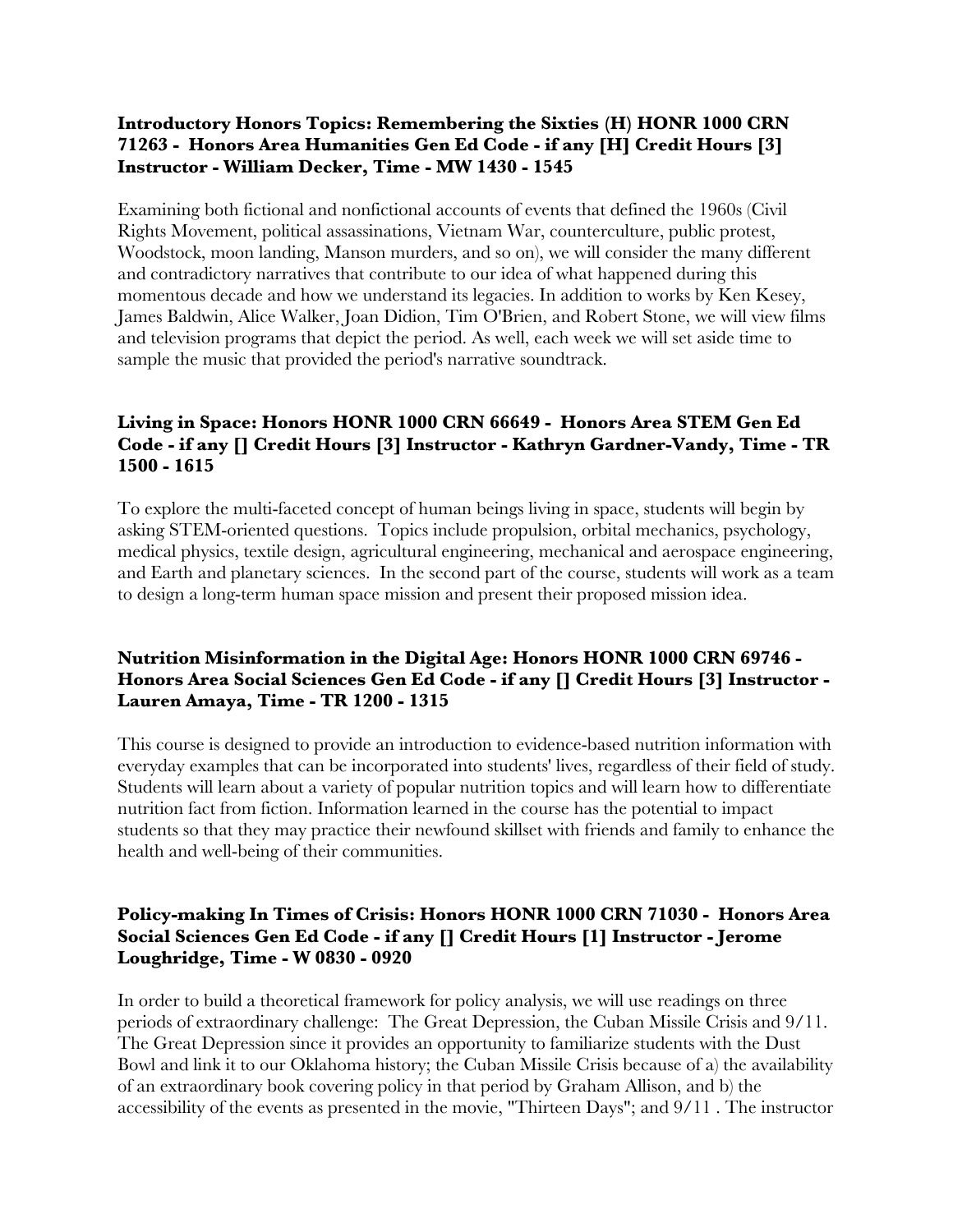## **Introductory Honors Topics: Remembering the Sixties (H) HONR 1000 CRN 71263 - Honors Area Humanities Gen Ed Code - if any [H] Credit Hours [3] Instructor - William Decker, Time - MW 1430 - 1545**

Examining both fictional and nonfictional accounts of events that defined the 1960s (Civil Rights Movement, political assassinations, Vietnam War, counterculture, public protest, Woodstock, moon landing, Manson murders, and so on), we will consider the many different and contradictory narratives that contribute to our idea of what happened during this momentous decade and how we understand its legacies. In addition to works by Ken Kesey, James Baldwin, Alice Walker, Joan Didion, Tim O'Brien, and Robert Stone, we will view films and television programs that depict the period. As well, each week we will set aside time to sample the music that provided the period's narrative soundtrack.

# **Living in Space: Honors HONR 1000 CRN 66649 - Honors Area STEM Gen Ed Code - if any [] Credit Hours [3] Instructor - Kathryn Gardner-Vandy, Time - TR 1500 - 1615**

To explore the multi-faceted concept of human beings living in space, students will begin by asking STEM-oriented questions. Topics include propulsion, orbital mechanics, psychology, medical physics, textile design, agricultural engineering, mechanical and aerospace engineering, and Earth and planetary sciences. In the second part of the course, students will work as a team to design a long-term human space mission and present their proposed mission idea.

# **Nutrition Misinformation in the Digital Age: Honors HONR 1000 CRN 69746 - Honors Area Social Sciences Gen Ed Code - if any [] Credit Hours [3] Instructor - Lauren Amaya, Time - TR 1200 - 1315**

This course is designed to provide an introduction to evidence-based nutrition information with everyday examples that can be incorporated into students' lives, regardless of their field of study. Students will learn about a variety of popular nutrition topics and will learn how to differentiate nutrition fact from fiction. Information learned in the course has the potential to impact students so that they may practice their newfound skillset with friends and family to enhance the health and well-being of their communities.

# **Policy-making In Times of Crisis: Honors HONR 1000 CRN 71030 - Honors Area Social Sciences Gen Ed Code - if any [] Credit Hours [1] Instructor - Jerome Loughridge, Time - W 0830 - 0920**

In order to build a theoretical framework for policy analysis, we will use readings on three periods of extraordinary challenge: The Great Depression, the Cuban Missile Crisis and 9/11. The Great Depression since it provides an opportunity to familiarize students with the Dust Bowl and link it to our Oklahoma history; the Cuban Missile Crisis because of a) the availability of an extraordinary book covering policy in that period by Graham Allison, and b) the accessibility of the events as presented in the movie, "Thirteen Days"; and 9/11 . The instructor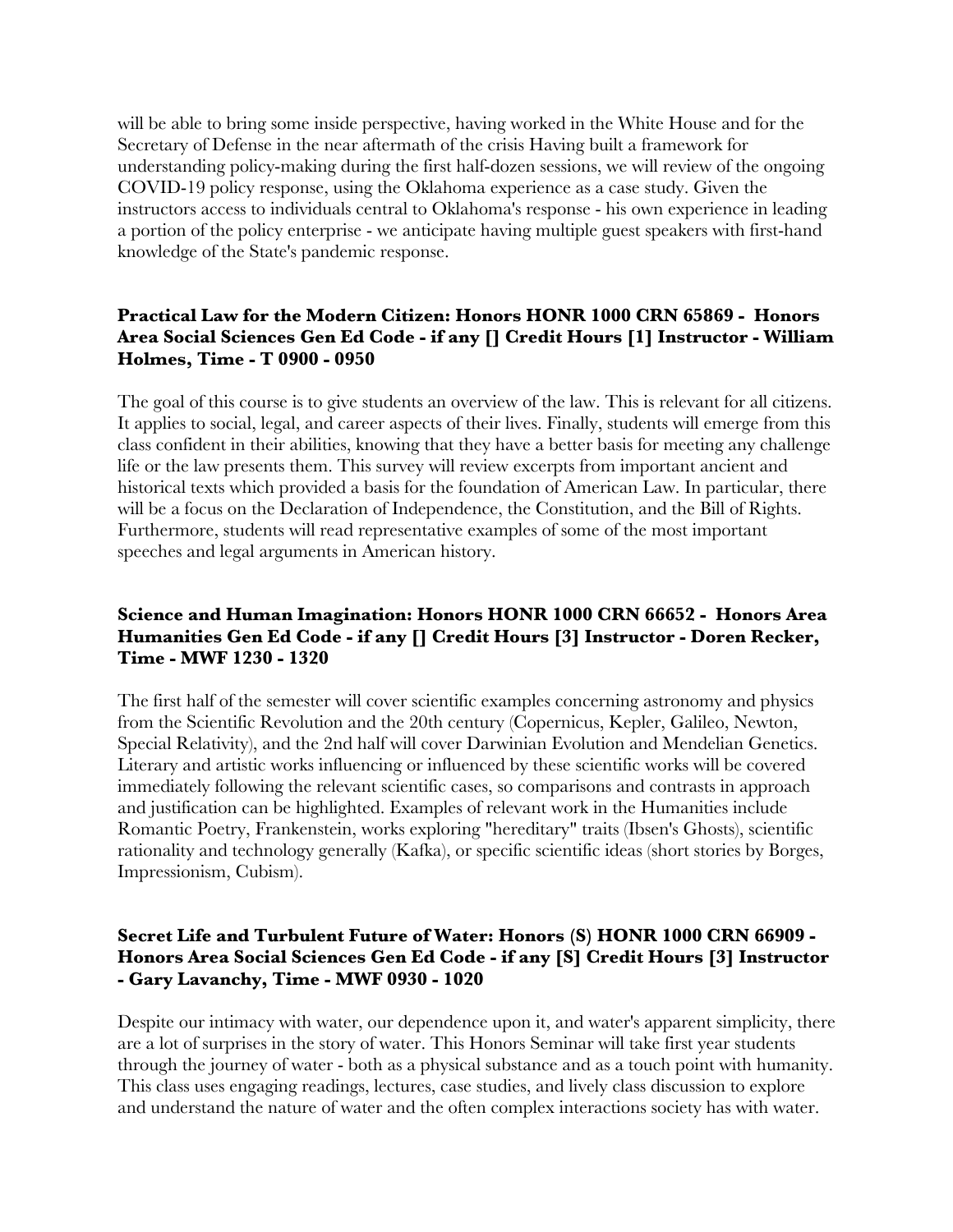will be able to bring some inside perspective, having worked in the White House and for the Secretary of Defense in the near aftermath of the crisis Having built a framework for understanding policy-making during the first half-dozen sessions, we will review of the ongoing COVID-19 policy response, using the Oklahoma experience as a case study. Given the instructors access to individuals central to Oklahoma's response - his own experience in leading a portion of the policy enterprise - we anticipate having multiple guest speakers with first-hand knowledge of the State's pandemic response.

# **Practical Law for the Modern Citizen: Honors HONR 1000 CRN 65869 - Honors Area Social Sciences Gen Ed Code - if any [] Credit Hours [1] Instructor - William Holmes, Time - T 0900 - 0950**

The goal of this course is to give students an overview of the law. This is relevant for all citizens. It applies to social, legal, and career aspects of their lives. Finally, students will emerge from this class confident in their abilities, knowing that they have a better basis for meeting any challenge life or the law presents them. This survey will review excerpts from important ancient and historical texts which provided a basis for the foundation of American Law. In particular, there will be a focus on the Declaration of Independence, the Constitution, and the Bill of Rights. Furthermore, students will read representative examples of some of the most important speeches and legal arguments in American history.

# **Science and Human Imagination: Honors HONR 1000 CRN 66652 - Honors Area Humanities Gen Ed Code - if any [] Credit Hours [3] Instructor - Doren Recker, Time - MWF 1230 - 1320**

The first half of the semester will cover scientific examples concerning astronomy and physics from the Scientific Revolution and the 20th century (Copernicus, Kepler, Galileo, Newton, Special Relativity), and the 2nd half will cover Darwinian Evolution and Mendelian Genetics. Literary and artistic works influencing or influenced by these scientific works will be covered immediately following the relevant scientific cases, so comparisons and contrasts in approach and justification can be highlighted. Examples of relevant work in the Humanities include Romantic Poetry, Frankenstein, works exploring "hereditary" traits (Ibsen's Ghosts), scientific rationality and technology generally (Kafka), or specific scientific ideas (short stories by Borges, Impressionism, Cubism).

## **Secret Life and Turbulent Future of Water: Honors (S) HONR 1000 CRN 66909 - Honors Area Social Sciences Gen Ed Code - if any [S] Credit Hours [3] Instructor - Gary Lavanchy, Time - MWF 0930 - 1020**

Despite our intimacy with water, our dependence upon it, and water's apparent simplicity, there are a lot of surprises in the story of water. This Honors Seminar will take first year students through the journey of water - both as a physical substance and as a touch point with humanity. This class uses engaging readings, lectures, case studies, and lively class discussion to explore and understand the nature of water and the often complex interactions society has with water.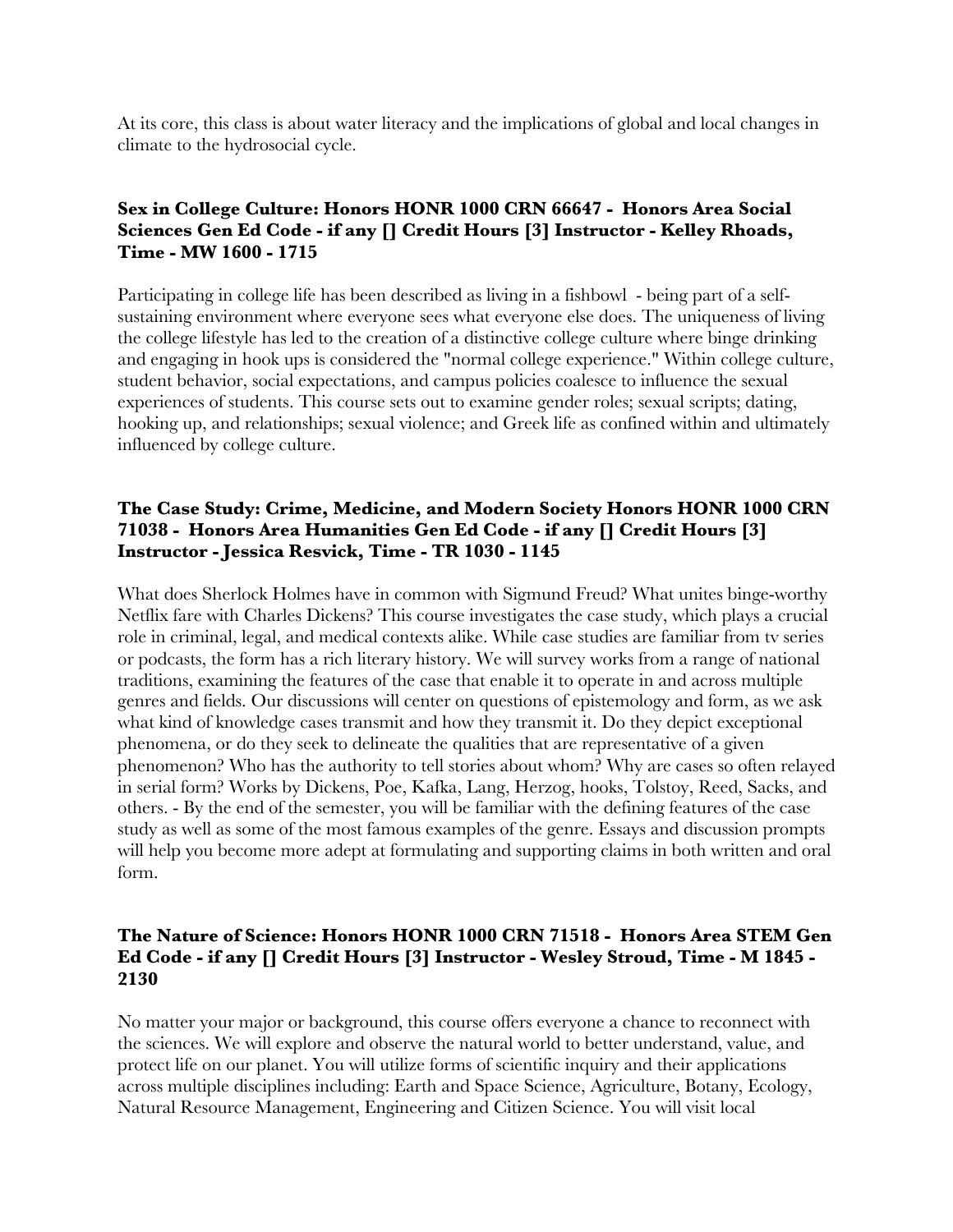At its core, this class is about water literacy and the implications of global and local changes in climate to the hydrosocial cycle.

# **Sex in College Culture: Honors HONR 1000 CRN 66647 - Honors Area Social Sciences Gen Ed Code - if any [] Credit Hours [3] Instructor - Kelley Rhoads, Time - MW 1600 - 1715**

Participating in college life has been described as living in a fishbowl - being part of a selfsustaining environment where everyone sees what everyone else does. The uniqueness of living the college lifestyle has led to the creation of a distinctive college culture where binge drinking and engaging in hook ups is considered the "normal college experience." Within college culture, student behavior, social expectations, and campus policies coalesce to influence the sexual experiences of students. This course sets out to examine gender roles; sexual scripts; dating, hooking up, and relationships; sexual violence; and Greek life as confined within and ultimately influenced by college culture.

# **The Case Study: Crime, Medicine, and Modern Society Honors HONR 1000 CRN 71038 - Honors Area Humanities Gen Ed Code - if any [] Credit Hours [3] Instructor - Jessica Resvick, Time - TR 1030 - 1145**

What does Sherlock Holmes have in common with Sigmund Freud? What unites binge-worthy Netflix fare with Charles Dickens? This course investigates the case study, which plays a crucial role in criminal, legal, and medical contexts alike. While case studies are familiar from tv series or podcasts, the form has a rich literary history. We will survey works from a range of national traditions, examining the features of the case that enable it to operate in and across multiple genres and fields. Our discussions will center on questions of epistemology and form, as we ask what kind of knowledge cases transmit and how they transmit it. Do they depict exceptional phenomena, or do they seek to delineate the qualities that are representative of a given phenomenon? Who has the authority to tell stories about whom? Why are cases so often relayed in serial form? Works by Dickens, Poe, Kafka, Lang, Herzog, hooks, Tolstoy, Reed, Sacks, and others. - By the end of the semester, you will be familiar with the defining features of the case study as well as some of the most famous examples of the genre. Essays and discussion prompts will help you become more adept at formulating and supporting claims in both written and oral form.

# **The Nature of Science: Honors HONR 1000 CRN 71518 - Honors Area STEM Gen Ed Code - if any [] Credit Hours [3] Instructor - Wesley Stroud, Time - M 1845 - 2130**

No matter your major or background, this course offers everyone a chance to reconnect with the sciences. We will explore and observe the natural world to better understand, value, and protect life on our planet. You will utilize forms of scientific inquiry and their applications across multiple disciplines including: Earth and Space Science, Agriculture, Botany, Ecology, Natural Resource Management, Engineering and Citizen Science. You will visit local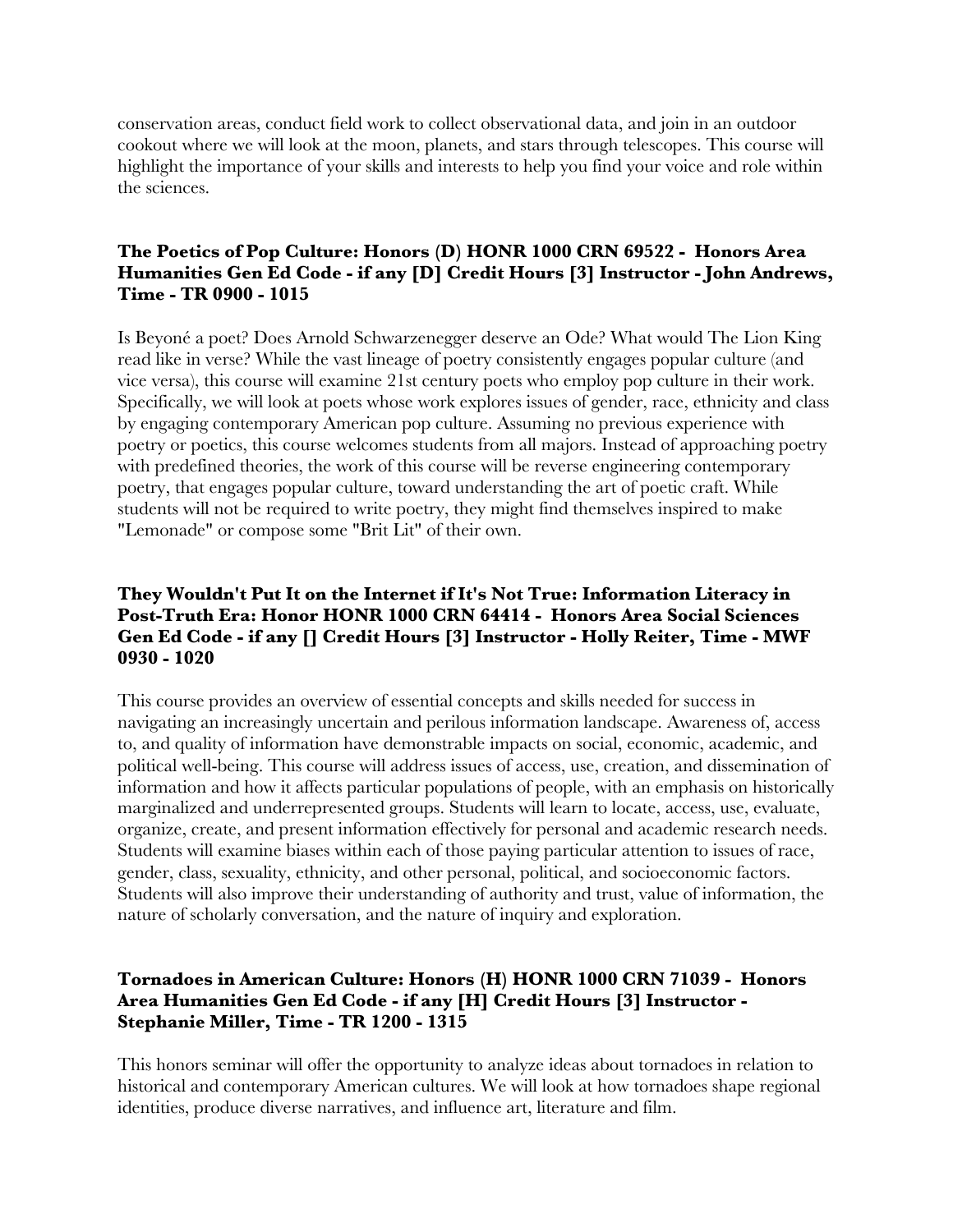conservation areas, conduct field work to collect observational data, and join in an outdoor cookout where we will look at the moon, planets, and stars through telescopes. This course will highlight the importance of your skills and interests to help you find your voice and role within the sciences.

# **The Poetics of Pop Culture: Honors (D) HONR 1000 CRN 69522 - Honors Area Humanities Gen Ed Code - if any [D] Credit Hours [3] Instructor - John Andrews, Time - TR 0900 - 1015**

Is Beyoné a poet? Does Arnold Schwarzenegger deserve an Ode? What would The Lion King read like in verse? While the vast lineage of poetry consistently engages popular culture (and vice versa), this course will examine 21st century poets who employ pop culture in their work. Specifically, we will look at poets whose work explores issues of gender, race, ethnicity and class by engaging contemporary American pop culture. Assuming no previous experience with poetry or poetics, this course welcomes students from all majors. Instead of approaching poetry with predefined theories, the work of this course will be reverse engineering contemporary poetry, that engages popular culture, toward understanding the art of poetic craft. While students will not be required to write poetry, they might find themselves inspired to make "Lemonade" or compose some "Brit Lit" of their own.

## **They Wouldn't Put It on the Internet if It's Not True: Information Literacy in Post-Truth Era: Honor HONR 1000 CRN 64414 - Honors Area Social Sciences Gen Ed Code - if any [] Credit Hours [3] Instructor - Holly Reiter, Time - MWF 0930 - 1020**

This course provides an overview of essential concepts and skills needed for success in navigating an increasingly uncertain and perilous information landscape. Awareness of, access to, and quality of information have demonstrable impacts on social, economic, academic, and political well-being. This course will address issues of access, use, creation, and dissemination of information and how it affects particular populations of people, with an emphasis on historically marginalized and underrepresented groups. Students will learn to locate, access, use, evaluate, organize, create, and present information effectively for personal and academic research needs. Students will examine biases within each of those paying particular attention to issues of race, gender, class, sexuality, ethnicity, and other personal, political, and socioeconomic factors. Students will also improve their understanding of authority and trust, value of information, the nature of scholarly conversation, and the nature of inquiry and exploration.

# **Tornadoes in American Culture: Honors (H) HONR 1000 CRN 71039 - Honors Area Humanities Gen Ed Code - if any [H] Credit Hours [3] Instructor - Stephanie Miller, Time - TR 1200 - 1315**

This honors seminar will offer the opportunity to analyze ideas about tornadoes in relation to historical and contemporary American cultures. We will look at how tornadoes shape regional identities, produce diverse narratives, and influence art, literature and film.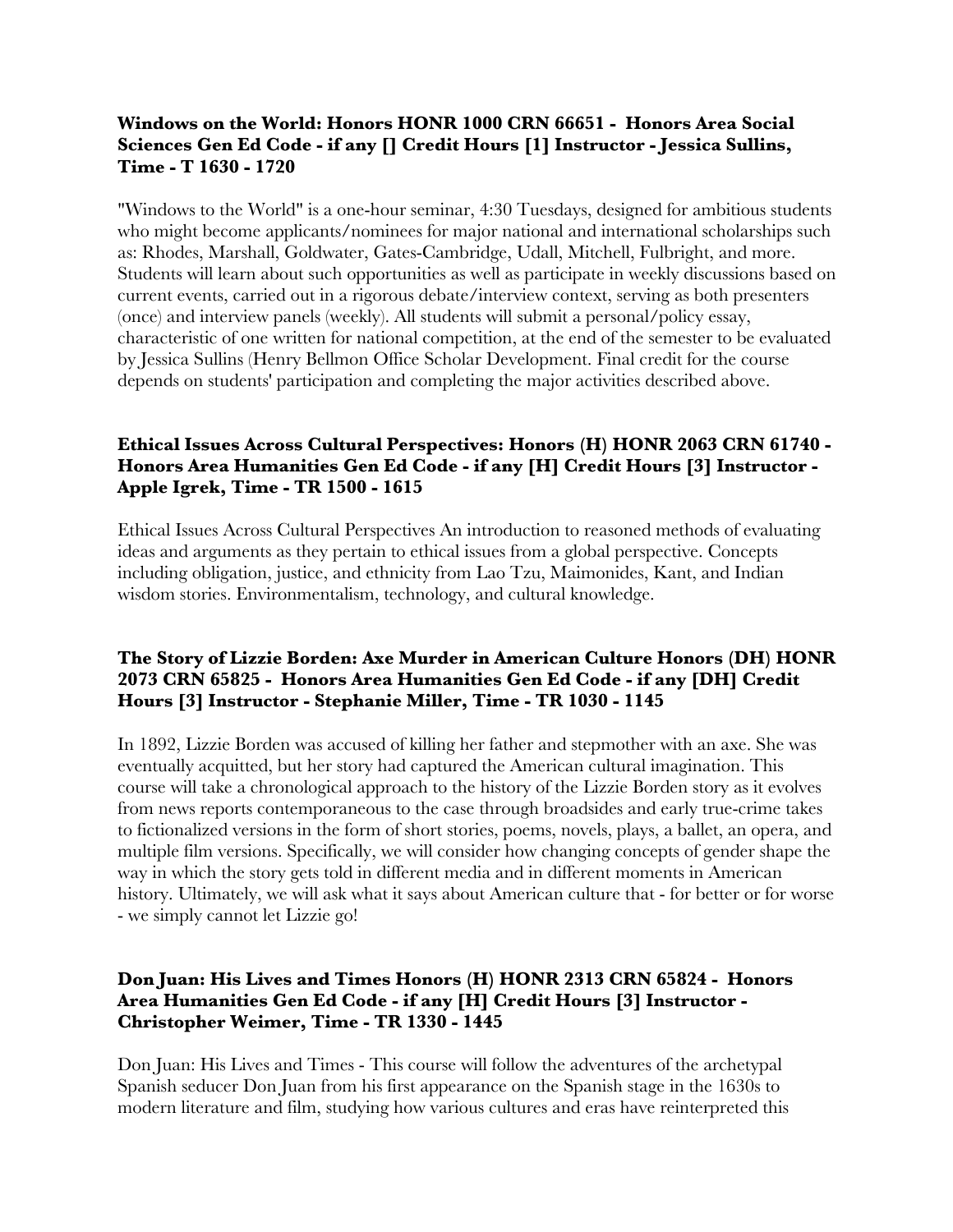## **Windows on the World: Honors HONR 1000 CRN 66651 - Honors Area Social Sciences Gen Ed Code - if any [] Credit Hours [1] Instructor - Jessica Sullins, Time - T 1630 - 1720**

"Windows to the World" is a one-hour seminar, 4:30 Tuesdays, designed for ambitious students who might become applicants/nominees for major national and international scholarships such as: Rhodes, Marshall, Goldwater, Gates-Cambridge, Udall, Mitchell, Fulbright, and more. Students will learn about such opportunities as well as participate in weekly discussions based on current events, carried out in a rigorous debate/interview context, serving as both presenters (once) and interview panels (weekly). All students will submit a personal/policy essay, characteristic of one written for national competition, at the end of the semester to be evaluated by Jessica Sullins (Henry Bellmon Office Scholar Development. Final credit for the course depends on students' participation and completing the major activities described above.

# **Ethical Issues Across Cultural Perspectives: Honors (H) HONR 2063 CRN 61740 - Honors Area Humanities Gen Ed Code - if any [H] Credit Hours [3] Instructor - Apple Igrek, Time - TR 1500 - 1615**

Ethical Issues Across Cultural Perspectives An introduction to reasoned methods of evaluating ideas and arguments as they pertain to ethical issues from a global perspective. Concepts including obligation, justice, and ethnicity from Lao Tzu, Maimonides, Kant, and Indian wisdom stories. Environmentalism, technology, and cultural knowledge.

## **The Story of Lizzie Borden: Axe Murder in American Culture Honors (DH) HONR 2073 CRN 65825 - Honors Area Humanities Gen Ed Code - if any [DH] Credit Hours [3] Instructor - Stephanie Miller, Time - TR 1030 - 1145**

In 1892, Lizzie Borden was accused of killing her father and stepmother with an axe. She was eventually acquitted, but her story had captured the American cultural imagination. This course will take a chronological approach to the history of the Lizzie Borden story as it evolves from news reports contemporaneous to the case through broadsides and early true-crime takes to fictionalized versions in the form of short stories, poems, novels, plays, a ballet, an opera, and multiple film versions. Specifically, we will consider how changing concepts of gender shape the way in which the story gets told in different media and in different moments in American history. Ultimately, we will ask what it says about American culture that - for better or for worse - we simply cannot let Lizzie go!

# **Don Juan: His Lives and Times Honors (H) HONR 2313 CRN 65824 - Honors Area Humanities Gen Ed Code - if any [H] Credit Hours [3] Instructor - Christopher Weimer, Time - TR 1330 - 1445**

Don Juan: His Lives and Times - This course will follow the adventures of the archetypal Spanish seducer Don Juan from his first appearance on the Spanish stage in the 1630s to modern literature and film, studying how various cultures and eras have reinterpreted this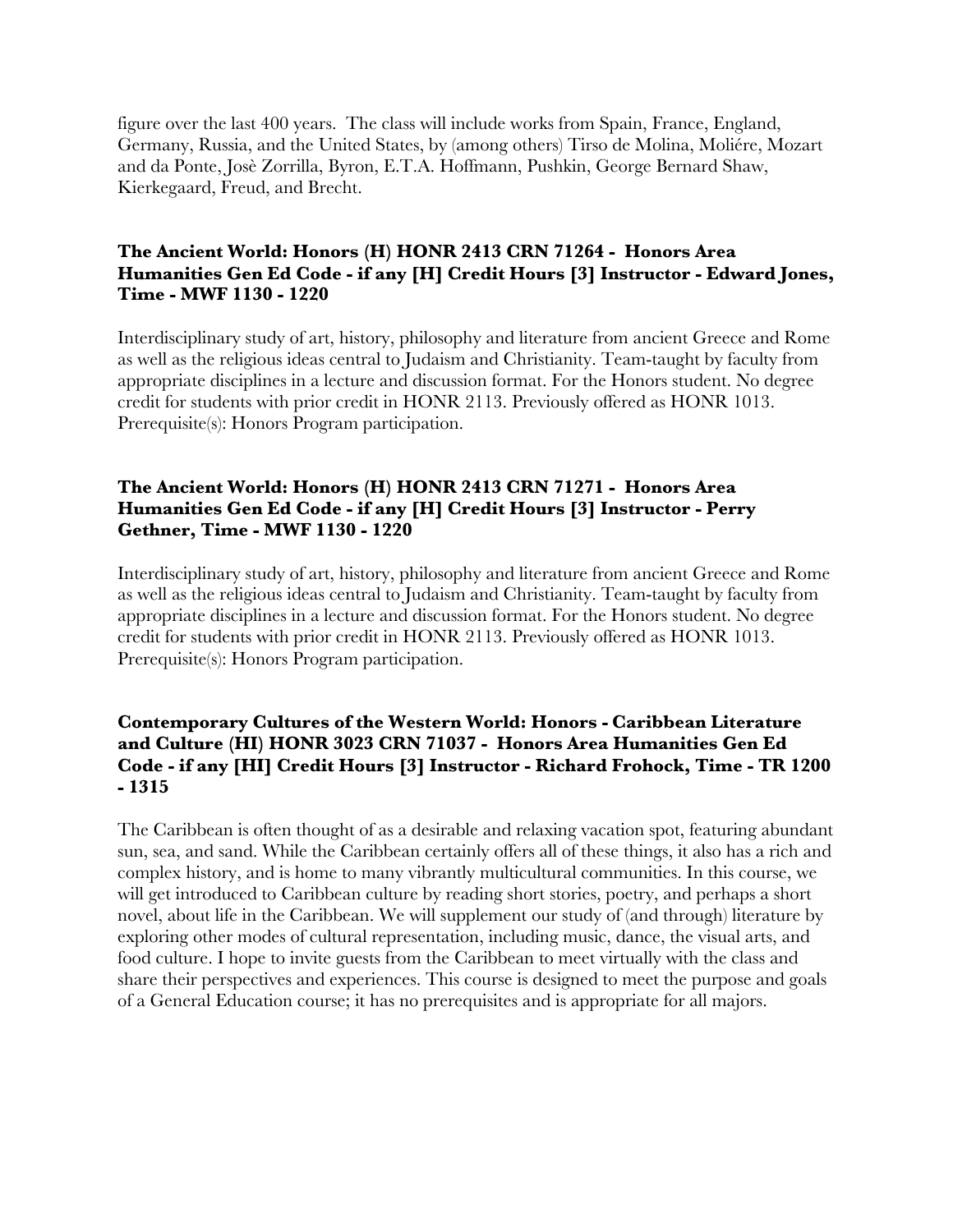figure over the last 400 years. The class will include works from Spain, France, England, Germany, Russia, and the United States, by (among others) Tirso de Molina, Moliére, Mozart and da Ponte, Josè Zorrilla, Byron, E.T.A. Hoffmann, Pushkin, George Bernard Shaw, Kierkegaard, Freud, and Brecht.

#### **The Ancient World: Honors (H) HONR 2413 CRN 71264 - Honors Area Humanities Gen Ed Code - if any [H] Credit Hours [3] Instructor - Edward Jones, Time - MWF 1130 - 1220**

Interdisciplinary study of art, history, philosophy and literature from ancient Greece and Rome as well as the religious ideas central to Judaism and Christianity. Team-taught by faculty from appropriate disciplines in a lecture and discussion format. For the Honors student. No degree credit for students with prior credit in HONR 2113. Previously offered as HONR 1013. Prerequisite(s): Honors Program participation.

## **The Ancient World: Honors (H) HONR 2413 CRN 71271 - Honors Area Humanities Gen Ed Code - if any [H] Credit Hours [3] Instructor - Perry Gethner, Time - MWF 1130 - 1220**

Interdisciplinary study of art, history, philosophy and literature from ancient Greece and Rome as well as the religious ideas central to Judaism and Christianity. Team-taught by faculty from appropriate disciplines in a lecture and discussion format. For the Honors student. No degree credit for students with prior credit in HONR 2113. Previously offered as HONR 1013. Prerequisite(s): Honors Program participation.

#### **Contemporary Cultures of the Western World: Honors - Caribbean Literature and Culture (HI) HONR 3023 CRN 71037 - Honors Area Humanities Gen Ed Code - if any [HI] Credit Hours [3] Instructor - Richard Frohock, Time - TR 1200 - 1315**

The Caribbean is often thought of as a desirable and relaxing vacation spot, featuring abundant sun, sea, and sand. While the Caribbean certainly offers all of these things, it also has a rich and complex history, and is home to many vibrantly multicultural communities. In this course, we will get introduced to Caribbean culture by reading short stories, poetry, and perhaps a short novel, about life in the Caribbean. We will supplement our study of (and through) literature by exploring other modes of cultural representation, including music, dance, the visual arts, and food culture. I hope to invite guests from the Caribbean to meet virtually with the class and share their perspectives and experiences. This course is designed to meet the purpose and goals of a General Education course; it has no prerequisites and is appropriate for all majors.